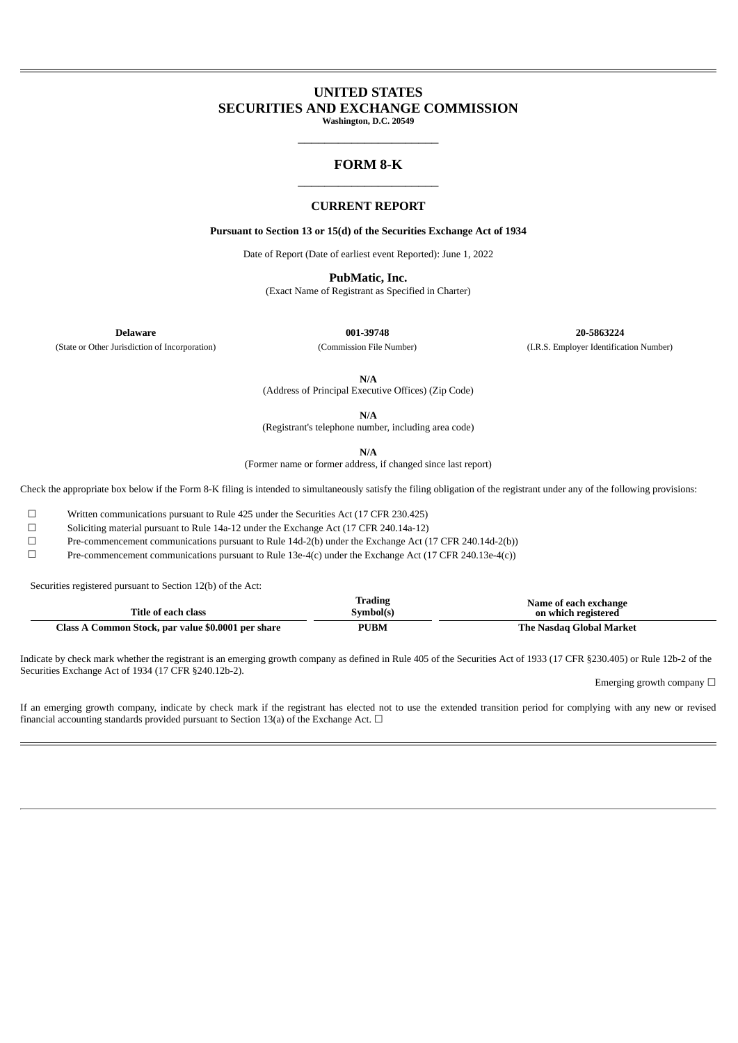# **UNITED STATES SECURITIES AND EXCHANGE COMMISSION**

**Washington, D.C. 20549**  $\overline{\phantom{a}}$  , we can also the contract of  $\overline{\phantom{a}}$ 

### **FORM 8-K**  $\overline{\phantom{a}}$  , we can also the contract of  $\overline{\phantom{a}}$

### **CURRENT REPORT**

**Pursuant to Section 13 or 15(d) of the Securities Exchange Act of 1934**

Date of Report (Date of earliest event Reported): June 1, 2022

**PubMatic, Inc.**

(Exact Name of Registrant as Specified in Charter)

**Delaware 001-39748 20-5863224** (State or Other Jurisdiction of Incorporation) (Commission File Number) (I.R.S. Employer Identification Number)

**N/A**

(Address of Principal Executive Offices) (Zip Code)

**N/A**

(Registrant's telephone number, including area code)

**N/A**

(Former name or former address, if changed since last report)

Check the appropriate box below if the Form 8-K filing is intended to simultaneously satisfy the filing obligation of the registrant under any of the following provisions:

 $\Box$  Written communications pursuant to Rule 425 under the Securities Act (17 CFR 230.425)

<p>\n Solicting material pursuit to Rule 14a-12 under the Exchange Act (17 CFR 240.14a-12)\n <math>\Box</math>\n</p>\n<p>\n Pre-component communications pursuit to Rule 14d-2(b) under the Exchange Act (17 CFR 240.14a-12)\n</p>

Pre-commencement communications pursuant to Rule 14d-2(b) under the Exchange Act (17 CFR 240.14d-2(b))

☐ Pre-commencement communications pursuant to Rule 13e-4(c) under the Exchange Act (17 CFR 240.13e-4(c))

Securities registered pursuant to Section 12(b) of the Act:

| Title of each class                                | <b>Trading</b><br>Symbol(s) | Name of each exchange<br>on which registered |
|----------------------------------------------------|-----------------------------|----------------------------------------------|
| Class A Common Stock, par value \$0.0001 per share | <b>PUBM</b>                 | The Nasdag Global Market                     |

Indicate by check mark whether the registrant is an emerging growth company as defined in Rule 405 of the Securities Act of 1933 (17 CFR §230.405) or Rule 12b-2 of the Securities Exchange Act of 1934 (17 CFR §240.12b-2).

Emerging growth company  $\Box$ 

If an emerging growth company, indicate by check mark if the registrant has elected not to use the extended transition period for complying with any new or revised financial accounting standards provided pursuant to Section 13(a) of the Exchange Act.  $\Box$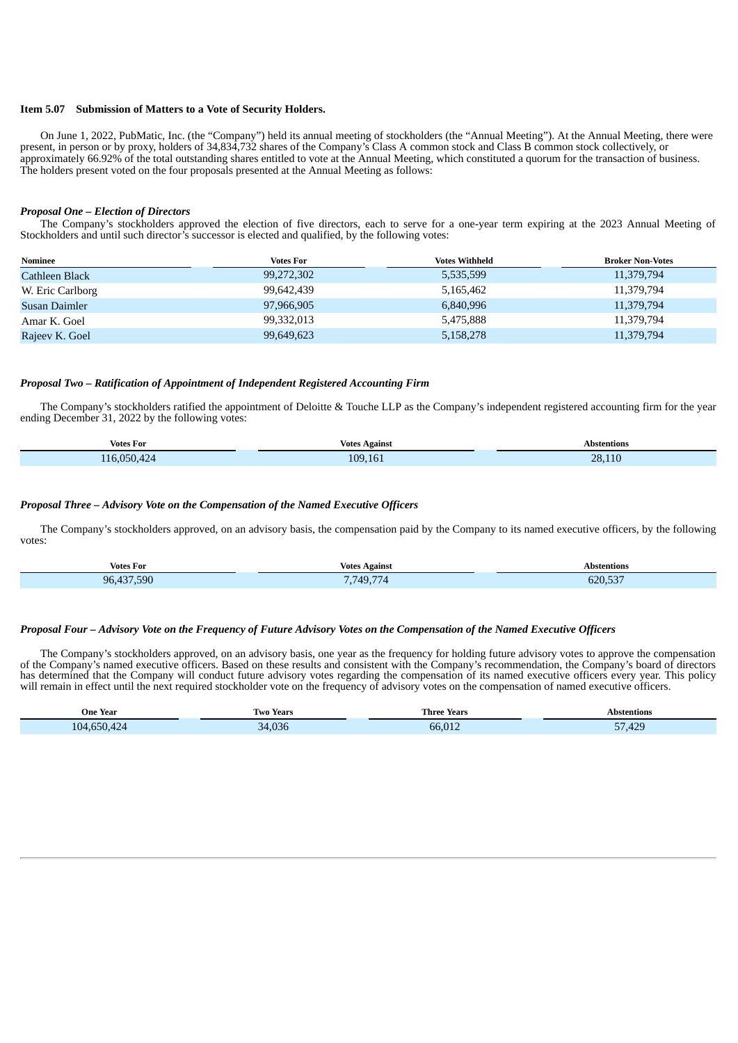#### **Item 5.07 Submission of Matters to a Vote of Security Holders.**

On June 1, 2022, PubMatic, Inc. (the "Company") held its annual meeting of stockholders (the "Annual Meeting"). At the Annual Meeting, there were present, in person or by proxy, holders of 34,834,732 shares of the Company's Class A common stock and Class B common stock collectively, or approximately 66.92% of the total outstanding shares entitled to vote at the Annual Meeting, which constituted a quorum for the transaction of business. The holders present voted on the four proposals presented at the Annual Meeting as follows:

#### *Proposal One – Election of Directors*

The Company's stockholders approved the election of five directors, each to serve for a one-year term expiring at the 2023 Annual Meeting of Stockholders and until such director's successor is elected and qualified, by the following votes:

| Nominee          | <b>Votes For</b> | <b>Votes Withheld</b> | <b>Broker Non-Votes</b> |
|------------------|------------------|-----------------------|-------------------------|
| Cathleen Black   | 99,272,302       | 5,535,599             | 11,379,794              |
| W. Eric Carlborg | 99,642,439       | 5,165,462             | 11,379,794              |
| Susan Daimler    | 97,966,905       | 6,840,996             | 11,379,794              |
| Amar K. Goel     | 99,332,013       | 5,475,888             | 11,379,794              |
| Rajeev K. Goel   | 99,649,623       | 5,158,278             | 11,379,794              |

#### *Proposal Two – Ratification of Appointment of Independent Registered Accounting Firm*

The Company's stockholders ratified the appointment of Deloitte & Touche LLP as the Company's independent registered accounting firm for the year ending December 31, 2022 by the following votes:

| $  -$<br>Votes For                                                                                                                                                                                                                             | <b>Votes Against</b>                                                                                                                 | Abstentions |  |
|------------------------------------------------------------------------------------------------------------------------------------------------------------------------------------------------------------------------------------------------|--------------------------------------------------------------------------------------------------------------------------------------|-------------|--|
| ∩⊏∩<br><b>Contract Contract Contract Contract Contract Contract Contract Contract Contract Contract Contract Contract Co</b><br>and the state of the state of the state of the state of the state of the state of the state of the state of th | 109.<br>$\sqrt{2}$<br>and the state of the state of the state of the state of the state of the state of the state of the state of th | 28.1<br>__  |  |

#### *Proposal Three – Advisory Vote on the Compensation of the Named Executive Officers*

The Company's stockholders approved, on an advisory basis, the compensation paid by the Company to its named executive officers, by the following votes:

| <b>Votes For</b>     | Votes<br>Against<br>.                       | Abstentions |  |
|----------------------|---------------------------------------------|-------------|--|
| .590<br>ሰር<br>$\sim$ | $-$<br>7 749<br>$\mathbf{r}$ . $\mathbf{r}$ | 620,537     |  |

#### Proposal Four - Advisory Vote on the Frequency of Future Advisory Votes on the Compensation of the Named Executive Officers

The Company's stockholders approved, on an advisory basis, one year as the frequency for holding future advisory votes to approve the compensation of the Company's named executive officers. Based on these results and consistent with the Company's recommendation, the Company's board of directors has determined that the Company will conduct future advisory votes regarding the compensation of its named executive officers every year. This policy will remain in effect until the next required stockholder vote on the frequency of advisory votes on the compensation of named executive officers.

| <b>One Year</b><br>. | Year<br>I WO<br>. | Three<br>Years                                | *entions  |
|----------------------|-------------------|-----------------------------------------------|-----------|
| 104                  | $\Omega$          | <b>CONTRACTOR</b><br><b>- -</b><br>$b\bar{b}$ | --<br>10C |